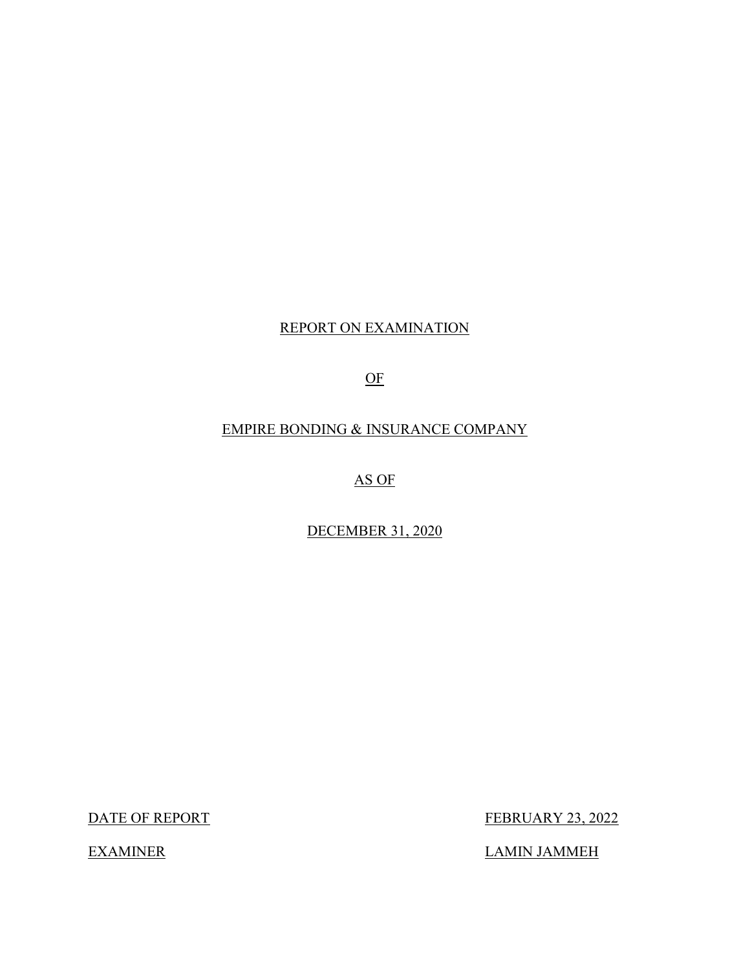## REPORT ON EXAMINATION

## OF

## EMPIRE BONDING & INSURANCE COMPANY

## AS OF

## DECEMBER 31, 2020

DATE OF REPORT

FEBRUARY 23, 2022

LAMIN JAMMEH

**EXAMINER**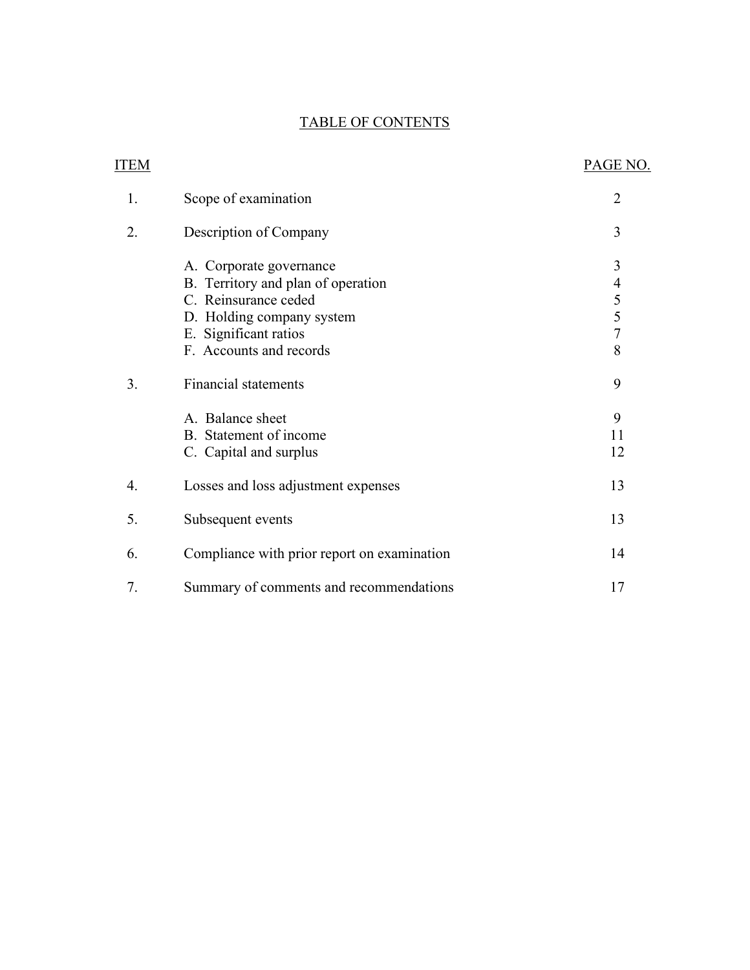## TABLE OF CONTENTS

| <b>ITEM</b> |                                                                                                                                                                        | PAGE NO.                                                  |
|-------------|------------------------------------------------------------------------------------------------------------------------------------------------------------------------|-----------------------------------------------------------|
| 1.          | Scope of examination                                                                                                                                                   | $\overline{2}$                                            |
| 2.          | Description of Company                                                                                                                                                 | 3                                                         |
|             | A. Corporate governance<br>B. Territory and plan of operation<br>C. Reinsurance ceded<br>D. Holding company system<br>E. Significant ratios<br>F. Accounts and records | 3<br>$\begin{array}{c} 4 \\ 5 \\ 5 \\ 7 \end{array}$<br>8 |
| 3.          | <b>Financial statements</b>                                                                                                                                            | 9                                                         |
|             | A. Balance sheet<br>B. Statement of income<br>C. Capital and surplus                                                                                                   | 9<br>11<br>12                                             |
| 4.          | Losses and loss adjustment expenses                                                                                                                                    | 13                                                        |
| 5.          | Subsequent events                                                                                                                                                      | 13                                                        |
| 6.          | Compliance with prior report on examination                                                                                                                            | 14                                                        |
| 7.          | Summary of comments and recommendations                                                                                                                                | 17                                                        |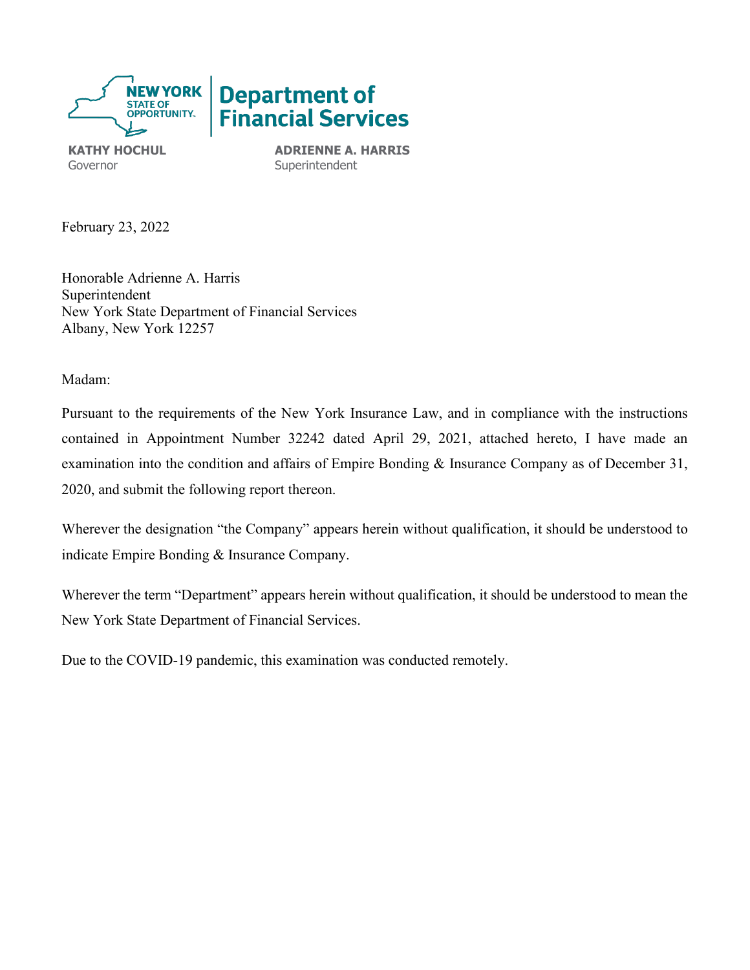

Governor **Superintendent** 

**KATHY HOCHUL ADRIENNE A. HARRIS** 

February 23, 2022

Honorable Adrienne A. Harris Superintendent New York State Department of Financial Services Albany, New York 12257

Madam:

Pursuant to the requirements of the New York Insurance Law, and in compliance with the instructions contained in Appointment Number 32242 dated April 29, 2021, attached hereto, I have made an examination into the condition and affairs of Empire Bonding & Insurance Company as of December 31, 2020, and submit the following report thereon.

Wherever the designation "the Company" appears herein without qualification, it should be understood to indicate Empire Bonding & Insurance Company.

Wherever the term "Department" appears herein without qualification, it should be understood to mean the New York State Department of Financial Services.

Due to the COVID-19 pandemic, this examination was conducted remotely.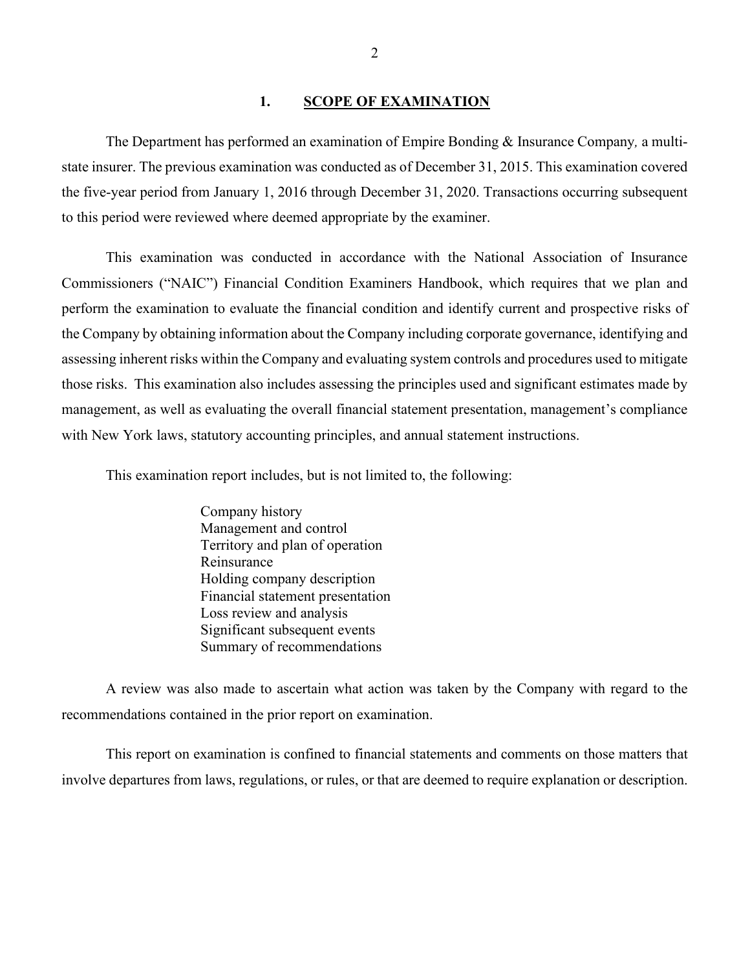#### **1. SCOPE OF EXAMINATION**

<span id="page-3-0"></span> The Department has performed an examination of Empire Bonding & Insurance Company*,* a multistate insurer. The previous examination was conducted as of December 31, 2015. This examination covered the five-year period from January 1, 2016 through December 31, 2020. Transactions occurring subsequent to this period were reviewed where deemed appropriate by the examiner.

 those risks. This examination also includes assessing the principles used and significant estimates made by management, as well as evaluating the overall financial statement presentation, management's compliance with New York laws, statutory accounting principles, and annual statement instructions. This examination was conducted in accordance with the National Association of Insurance Commissioners ("NAIC") Financial Condition Examiners Handbook, which requires that we plan and perform the examination to evaluate the financial condition and identify current and prospective risks of the Company by obtaining information about the Company including corporate governance, identifying and assessing inherent risks within the Company and evaluating system controls and procedures used to mitigate

This examination report includes, but is not limited to, the following:

Company history Management and control Territory and plan of operation Reinsurance Holding company description Financial statement presentation Loss review and analysis Significant subsequent events Summary of recommendations

recommendations contained in the prior report on examination. recommendations contained in the prior report on examination. This report on examination is confined to financial statements and comments on those matters that A review was also made to ascertain what action was taken by the Company with regard to the

involve departures from laws, regulations, or rules, or that are deemed to require explanation or description.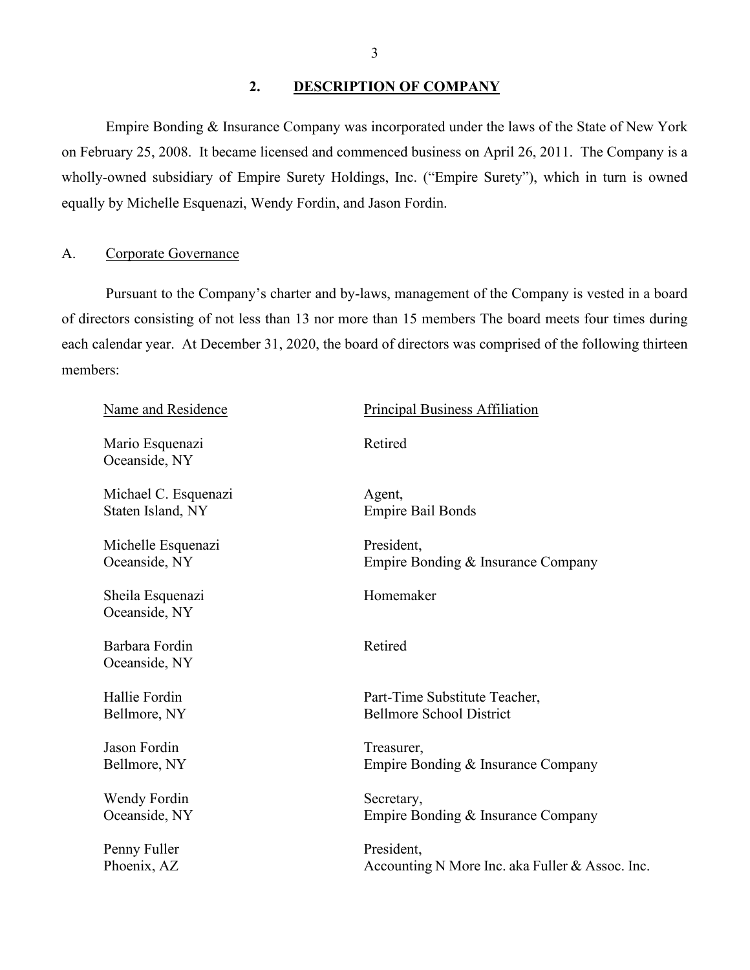#### <span id="page-4-0"></span>**2. DESCRIPTION OF COMPANY**

Empire Bonding & Insurance Company was incorporated under the laws of the State of New York on February 25, 2008. It became licensed and commenced business on April 26, 2011. The Company is a wholly-owned subsidiary of Empire Surety Holdings, Inc. ("Empire Surety"), which in turn is owned equally by Michelle Esquenazi, Wendy Fordin, and Jason Fordin.

#### <span id="page-4-1"></span>A. Corporate Governance

 of directors consisting of not less than 13 nor more than 15 members The board meets four times during Pursuant to the Company's charter and by-laws, management of the Company is vested in a board each calendar year. At December 31, 2020, the board of directors was comprised of the following thirteen members:

| Name and Residence                        | <b>Principal Business Affiliation</b>                            |
|-------------------------------------------|------------------------------------------------------------------|
| Mario Esquenazi<br>Oceanside, NY          | Retired                                                          |
| Michael C. Esquenazi<br>Staten Island, NY | Agent,<br><b>Empire Bail Bonds</b>                               |
| Michelle Esquenazi<br>Oceanside, NY       | President,<br>Empire Bonding & Insurance Company                 |
| Sheila Esquenazi<br>Oceanside, NY         | Homemaker                                                        |
| Barbara Fordin<br>Oceanside, NY           | Retired                                                          |
| Hallie Fordin<br>Bellmore, NY             | Part-Time Substitute Teacher,<br><b>Bellmore School District</b> |
| Jason Fordin<br>Bellmore, NY              | Treasurer,<br>Empire Bonding & Insurance Company                 |
| Wendy Fordin<br>Oceanside, NY             | Secretary,<br>Empire Bonding & Insurance Company                 |
| Penny Fuller<br>Phoenix, AZ               | President,<br>Accounting N More Inc. aka Fuller & Assoc. Inc.    |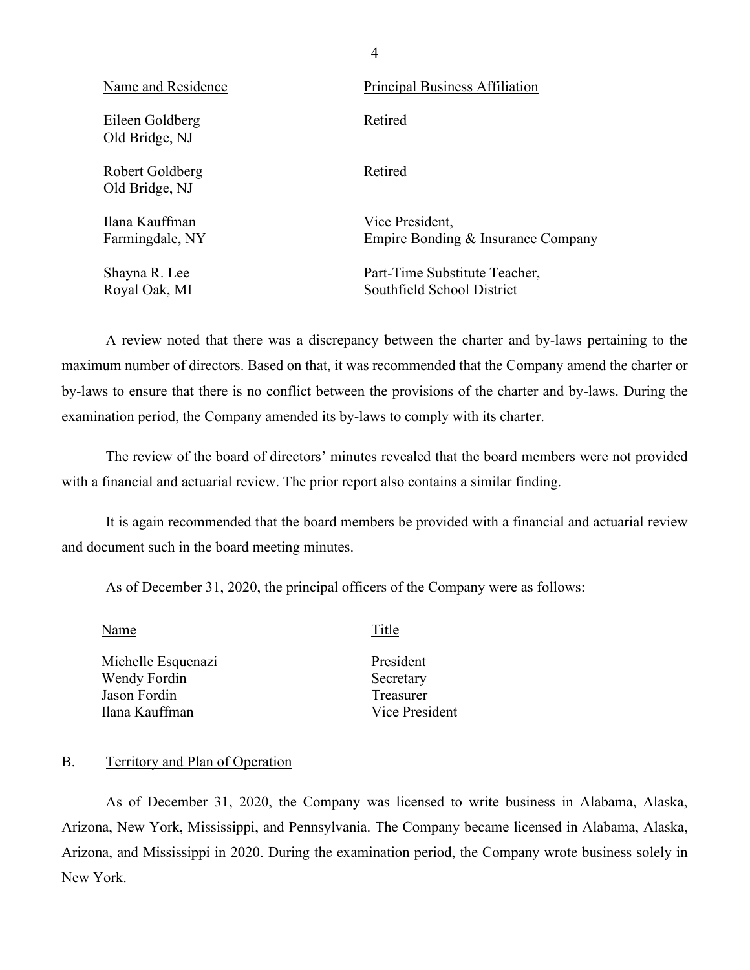| Name and Residence                | Principal Business Affiliation                              |
|-----------------------------------|-------------------------------------------------------------|
| Eileen Goldberg<br>Old Bridge, NJ | Retired                                                     |
| Robert Goldberg<br>Old Bridge, NJ | Retired                                                     |
| Ilana Kauffman<br>Farmingdale, NY | Vice President,<br>Empire Bonding & Insurance Company       |
| Shayna R. Lee<br>Royal Oak, MI    | Part-Time Substitute Teacher,<br>Southfield School District |

A review noted that there was a discrepancy between the charter and by-laws pertaining to the maximum number of directors. Based on that, it was recommended that the Company amend the charter or by-laws to ensure that there is no conflict between the provisions of the charter and by-laws. During the examination period, the Company amended its by-laws to comply with its charter.

The review of the board of directors' minutes revealed that the board members were not provided with a financial and actuarial review. The prior report also contains a similar finding.

<span id="page-5-1"></span> It is again recommended that the board members be provided with a financial and actuarial review and document such in the board meeting minutes.

As of December 31, 2020, the principal officers of the Company were as follows:

Name Title

Michelle Esquenazi Wendy Fordin Jason Fordin Ilana Kauffman

President Secretary Treasurer Vice President

#### <span id="page-5-0"></span>B. Territory and Plan of Operation

As of December 31, 2020, the Company was licensed to write business in Alabama, Alaska, Arizona, New York, Mississippi, and Pennsylvania. The Company became licensed in Alabama, Alaska, Arizona, and Mississippi in 2020. During the examination period, the Company wrote business solely in New York.

4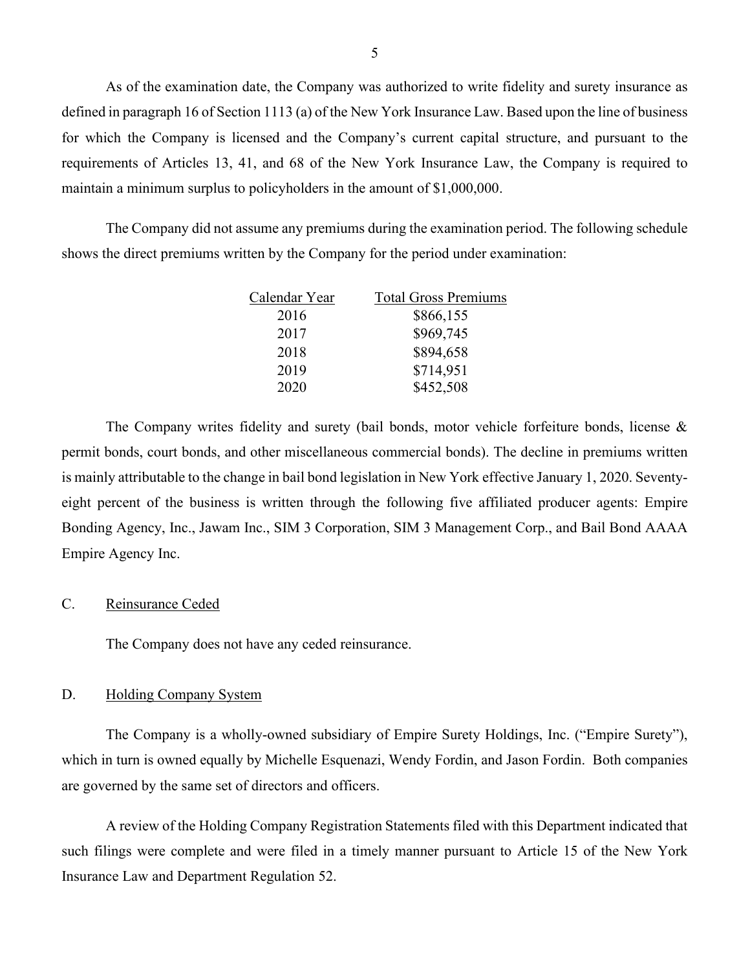As of the examination date, the Company was authorized to write fidelity and surety insurance as defined in paragraph 16 of Section 1113 (a) of the New York Insurance Law. Based upon the line of business for which the Company is licensed and the Company's current capital structure, and pursuant to the requirements of Articles 13, 41, and 68 of the New York Insurance Law, the Company is required to maintain a minimum surplus to policyholders in the amount of \$1,000,000.

The Company did not assume any premiums during the examination period. The following schedule shows the direct premiums written by the Company for the period under examination:

| Calendar Year | <b>Total Gross Premiums</b> |
|---------------|-----------------------------|
| 2016          | \$866,155                   |
| 2017          | \$969,745                   |
| 2018          | \$894,658                   |
| 2019          | \$714,951                   |
| 2020          | \$452,508                   |

<span id="page-6-0"></span> The Company writes fidelity and surety (bail bonds, motor vehicle forfeiture bonds, license & permit bonds, court bonds, and other miscellaneous commercial bonds). The decline in premiums written is mainly attributable to the change in bail bond legislation in New York effective January 1, 2020. Seventyeight percent of the business is written through the following five affiliated producer agents: Empire Bonding Agency, Inc., Jawam Inc., SIM 3 Corporation, SIM 3 Management Corp., and Bail Bond AAAA Empire Agency Inc.

#### C. Reinsurance Ceded

The Company does not have any ceded reinsurance.

#### <span id="page-6-1"></span>D. Holding Company System

 which in turn is owned equally by Michelle Esquenazi, Wendy Fordin, and Jason Fordin. Both companies The Company is a wholly-owned subsidiary of Empire Surety Holdings, Inc. ("Empire Surety"), are governed by the same set of directors and officers.

A review of the Holding Company Registration Statements filed with this Department indicated that such filings were complete and were filed in a timely manner pursuant to Article 15 of the New York Insurance Law and Department Regulation 52.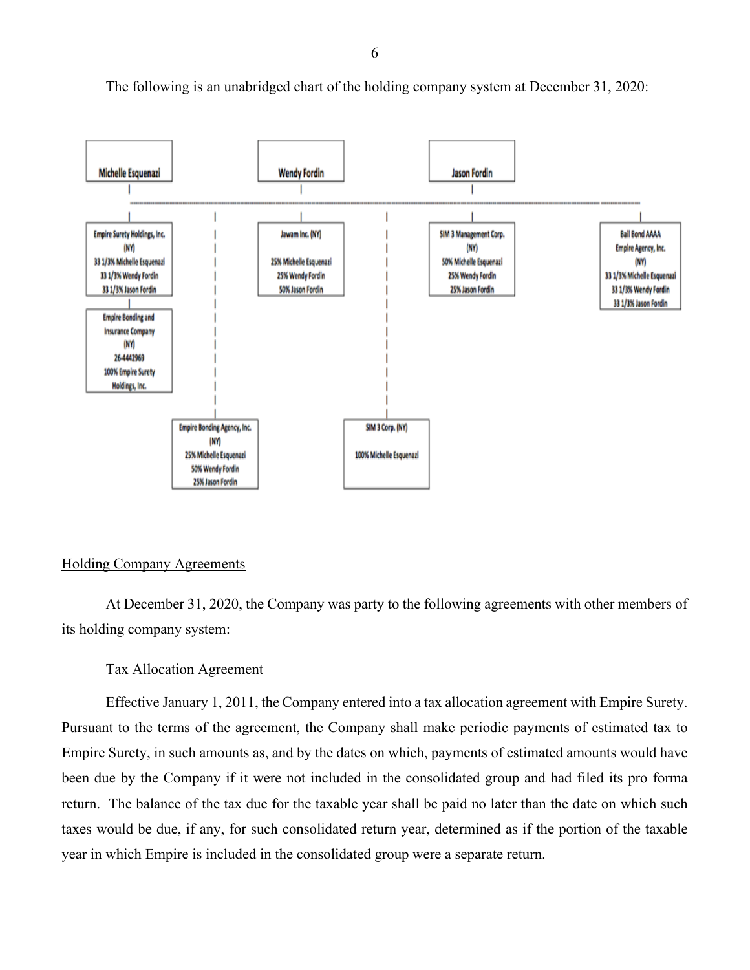

The following is an unabridged chart of the holding company system at December 31, 2020:

#### Holding Company Agreements

At December 31, 2020, the Company was party to the following agreements with other members of its holding company system:

#### Tax Allocation Agreement

 been due by the Company if it were not included in the consolidated group and had filed its pro forma taxes would be due, if any, for such consolidated return year, determined as if the portion of the taxable  year in which Empire is included in the consolidated group were a separate return. Effective January 1, 2011, the Company entered into a tax allocation agreement with Empire Surety. Pursuant to the terms of the agreement, the Company shall make periodic payments of estimated tax to Empire Surety, in such amounts as, and by the dates on which, payments of estimated amounts would have return. The balance of the tax due for the taxable year shall be paid no later than the date on which such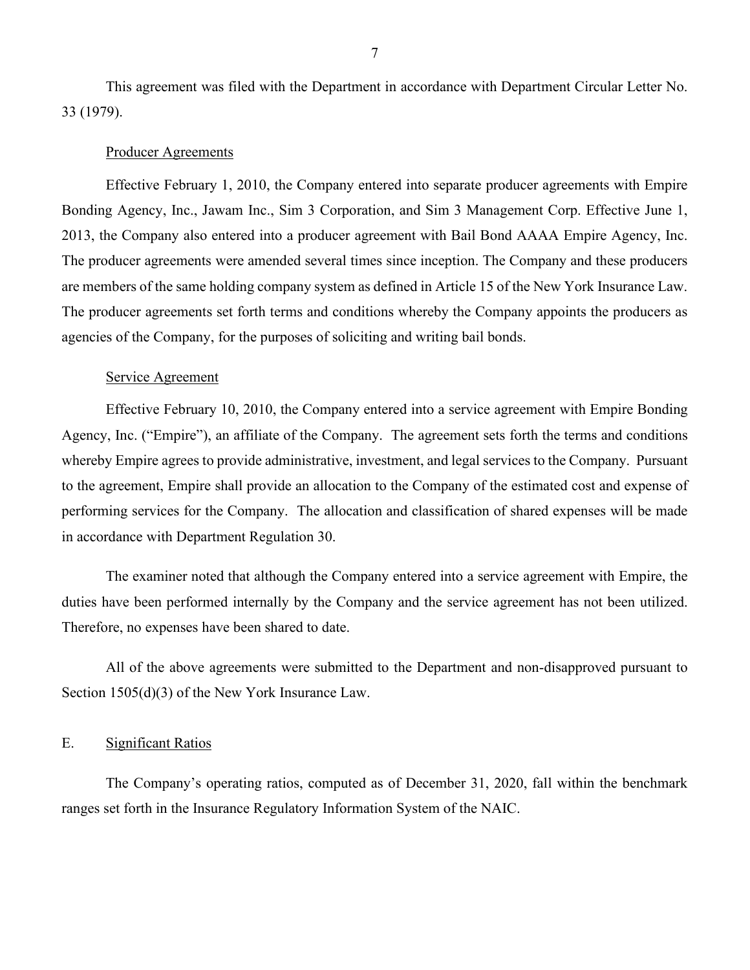This agreement was filed with the Department in accordance with Department Circular Letter No. 33 (1979).

#### Producer Agreements

 The producer agreements were amended several times since inception. The Company and these producers are members of the same holding company system as defined in Article 15 of the New York Insurance Law. Effective February 1, 2010, the Company entered into separate producer agreements with Empire Bonding Agency, Inc., Jawam Inc., Sim 3 Corporation, and Sim 3 Management Corp. Effective June 1, 2013, the Company also entered into a producer agreement with Bail Bond AAAA Empire Agency, Inc. The producer agreements set forth terms and conditions whereby the Company appoints the producers as agencies of the Company, for the purposes of soliciting and writing bail bonds.

#### Service Agreement

 performing services for the Company. The allocation and classification of shared expenses will be made Effective February 10, 2010, the Company entered into a service agreement with Empire Bonding Agency, Inc. ("Empire"), an affiliate of the Company. The agreement sets forth the terms and conditions whereby Empire agrees to provide administrative, investment, and legal services to the Company. Pursuant to the agreement, Empire shall provide an allocation to the Company of the estimated cost and expense of in accordance with Department Regulation 30.

 duties have been performed internally by the Company and the service agreement has not been utilized. Therefore, no expenses have been shared to date. The examiner noted that although the Company entered into a service agreement with Empire, the

 All of the above agreements were submitted to the Department and non-disapproved pursuant to Section 1505(d)(3) of the New York Insurance Law.

#### <span id="page-8-0"></span>E. Significant Ratios

 ranges set forth in the Insurance Regulatory Information System of the NAIC. The Company's operating ratios, computed as of December 31, 2020, fall within the benchmark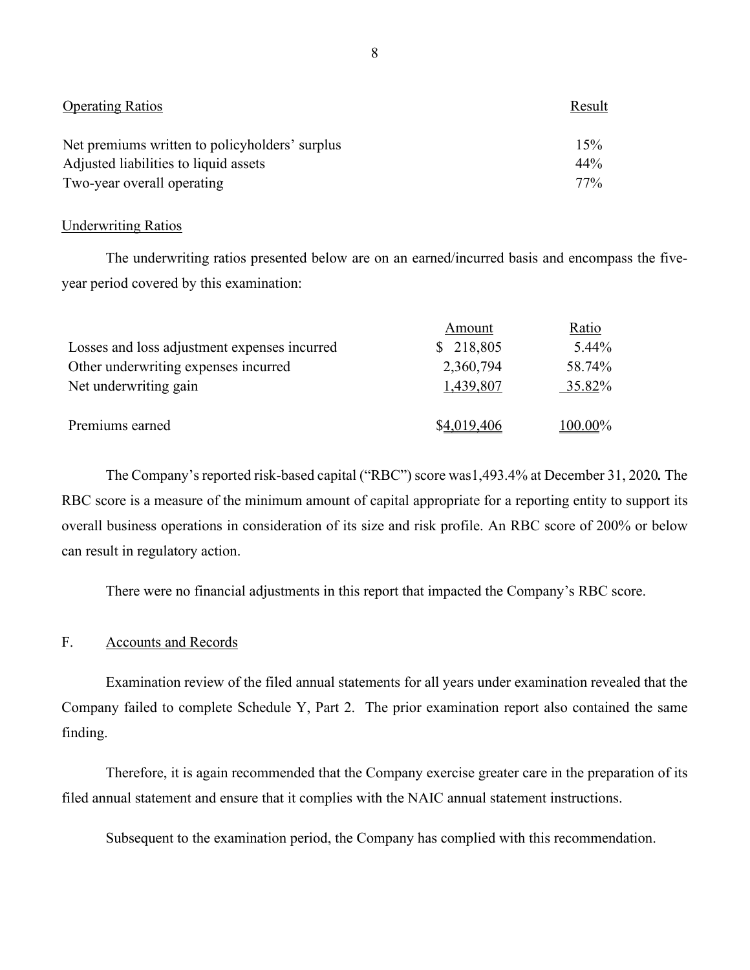| <b>Operating Ratios</b>                        | Result |
|------------------------------------------------|--------|
| Net premiums written to policyholders' surplus | 15%    |
| Adjusted liabilities to liquid assets          | 44%    |
| Two-year overall operating                     | 77%    |

#### **Underwriting Ratios**

The underwriting ratios presented below are on an earned/incurred basis and encompass the fiveyear period covered by this examination:

|                                              | Amount      | Ratio    |
|----------------------------------------------|-------------|----------|
| Losses and loss adjustment expenses incurred | \$218,805   | $5.44\%$ |
| Other underwriting expenses incurred         | 2,360,794   | 58.74%   |
| Net underwriting gain                        | 1,439,807   | 35.82%   |
|                                              |             |          |
| Premiums earned                              | \$4,019,406 | 100.00%  |

 The Company's reported risk-based capital ("RBC") score was1,493.4% at December 31, 2020*.* The RBC score is a measure of the minimum amount of capital appropriate for a reporting entity to support its overall business operations in consideration of its size and risk profile. An RBC score of 200% or below can result in regulatory action.

There were no financial adjustments in this report that impacted the Company's RBC score.

#### <span id="page-9-0"></span>F. Accounts and Records

 Examination review of the filed annual statements for all years under examination revealed that the Company failed to complete Schedule Y, Part 2. The prior examination report also contained the same finding.

Therefore, it is again recommended that the Company exercise greater care in the preparation of its filed annual statement and ensure that it complies with the NAIC annual statement instructions.

Subsequent to the examination period, the Company has complied with this recommendation.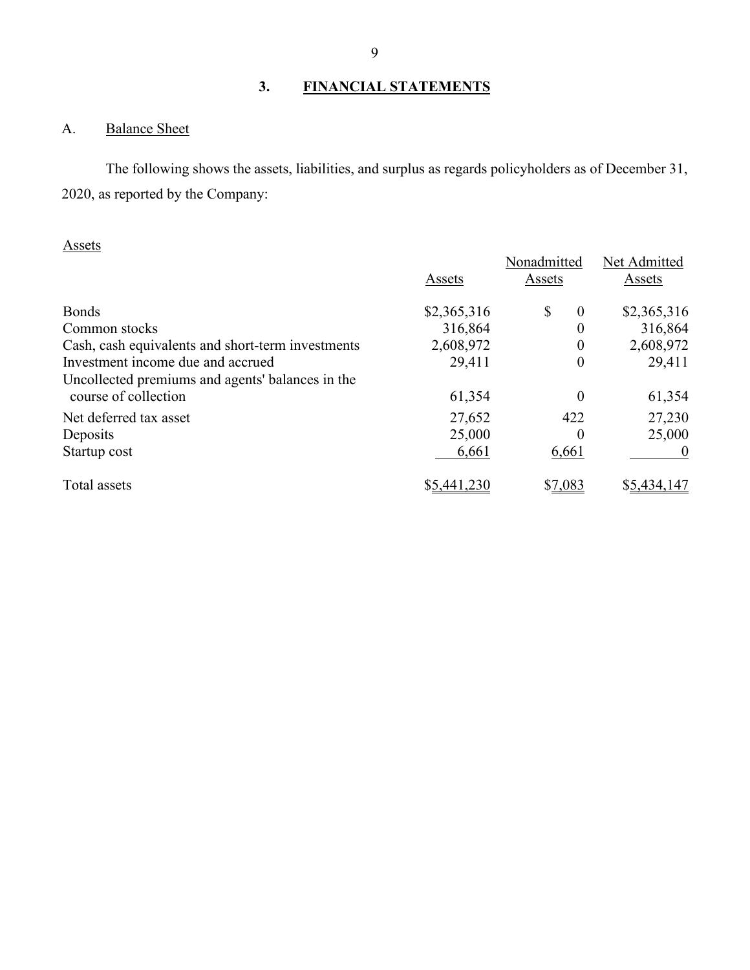## **3. FINANCIAL STATEMENTS**

## <span id="page-10-1"></span><span id="page-10-0"></span>A. Balance Sheet

The following shows the assets, liabilities, and surplus as regards policyholders as of December 31, 2020, as reported by the Company:

## Assets

| 1 200 <del>0</del> 00                             | Assets      | Nonadmitted<br>Assets     | Net Admitted<br>Assets |
|---------------------------------------------------|-------------|---------------------------|------------------------|
| <b>Bonds</b>                                      | \$2,365,316 | $\mathcal{S}$<br>$\theta$ | \$2,365,316            |
| Common stocks                                     | 316,864     | 0                         | 316,864                |
| Cash, cash equivalents and short-term investments | 2,608,972   | 0                         | 2,608,972              |
| Investment income due and accrued                 | 29,411      | $\overline{0}$            | 29,411                 |
| Uncollected premiums and agents' balances in the  |             |                           |                        |
| course of collection                              | 61,354      | 0                         | 61,354                 |
| Net deferred tax asset                            | 27,652      | 422                       | 27,230                 |
| Deposits                                          | 25,000      | $\theta$                  | 25,000                 |
| Startup cost                                      | 6,661       | 6,661                     |                        |
| Total assets                                      | \$5,441,230 | \$7,083                   | \$5,434,147            |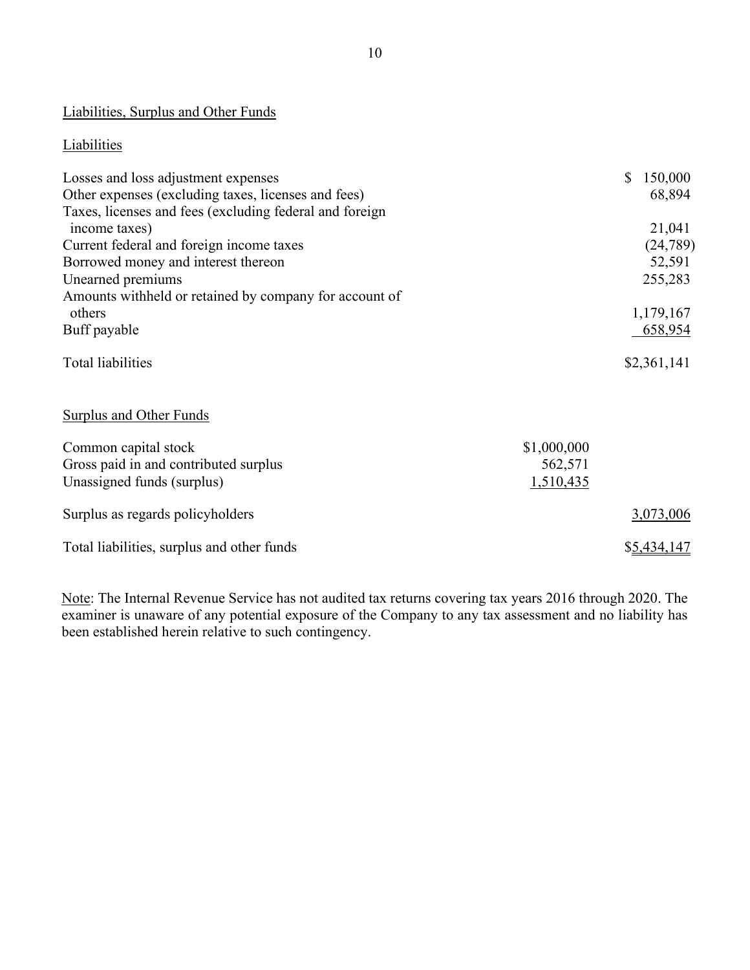## Liabilities, Surplus and Other Funds

## **Liabilities**

| Losses and loss adjustment expenses                     | 150,000<br>$\mathbb{S}$ |
|---------------------------------------------------------|-------------------------|
| Other expenses (excluding taxes, licenses and fees)     | 68,894                  |
| Taxes, licenses and fees (excluding federal and foreign |                         |
| income taxes)                                           | 21,041                  |
| Current federal and foreign income taxes                | (24, 789)               |
| Borrowed money and interest thereon                     | 52,591                  |
| Unearned premiums                                       | 255,283                 |
| Amounts withheld or retained by company for account of  |                         |
| others                                                  | 1,179,167               |
| Buff payable                                            | 658,954                 |
| <b>Total liabilities</b>                                | \$2,361,141             |
|                                                         |                         |
| Surplus and Other Funds                                 |                         |
| Common capital stock                                    | \$1,000,000             |

| Common capital stock                       | \$1,000,000 |
|--------------------------------------------|-------------|
| Gross paid in and contributed surplus      | 562,571     |
| Unassigned funds (surplus)                 | 1,510,435   |
| Surplus as regards policyholders           | 3,073,006   |
| Total liabilities, surplus and other funds | \$5,434,147 |

Note: The Internal Revenue Service has not audited tax returns covering tax years 2016 through 2020. The examiner is unaware of any potential exposure of the Company to any tax assessment and no liability has been established herein relative to such contingency.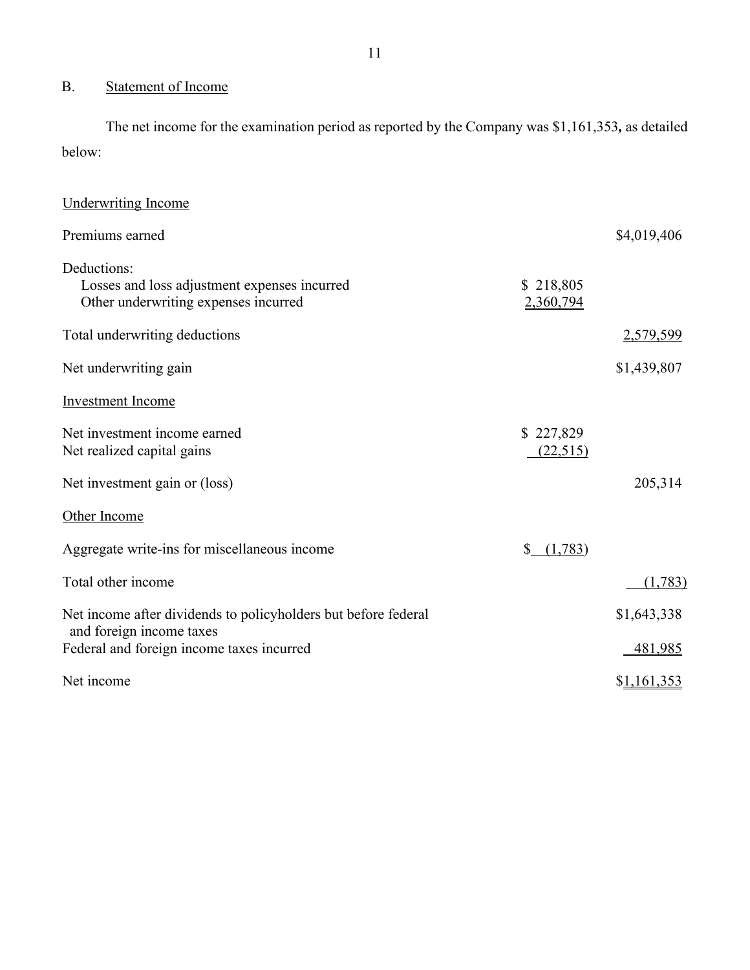## <span id="page-12-0"></span>B. Statement of Income

 The net income for the examination period as reported by the Company was \$1,161,353*,* as detailed below:

| <b>Underwriting Income</b>                                                                          |                        |             |
|-----------------------------------------------------------------------------------------------------|------------------------|-------------|
| Premiums earned                                                                                     |                        | \$4,019,406 |
| Deductions:<br>Losses and loss adjustment expenses incurred<br>Other underwriting expenses incurred | \$218,805<br>2,360,794 |             |
| Total underwriting deductions                                                                       |                        | 2,579,599   |
| Net underwriting gain                                                                               |                        | \$1,439,807 |
| Investment Income                                                                                   |                        |             |
| Net investment income earned<br>Net realized capital gains                                          | \$227,829<br>(22,515)  |             |
| Net investment gain or (loss)                                                                       |                        | 205,314     |
| Other Income                                                                                        |                        |             |
| Aggregate write-ins for miscellaneous income                                                        | (1,783)                |             |
| Total other income                                                                                  |                        | (1,783)     |
| Net income after dividends to policyholders but before federal                                      |                        | \$1,643,338 |
| and foreign income taxes<br>Federal and foreign income taxes incurred                               |                        | 481,985     |
| Net income                                                                                          |                        | \$1,161,353 |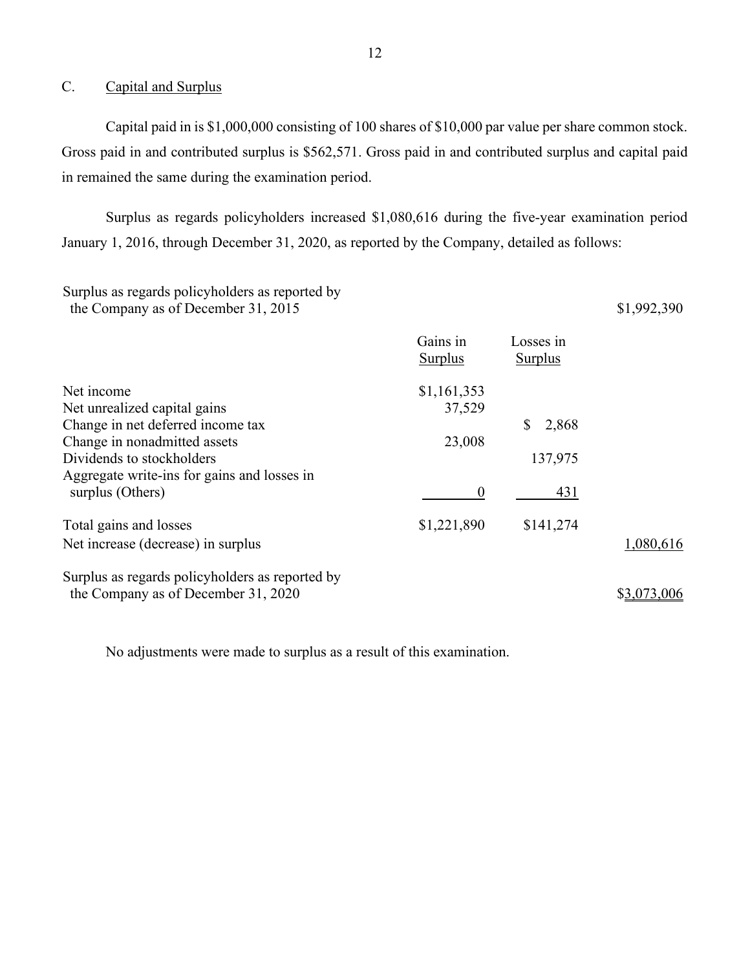#### <span id="page-13-0"></span>C. Capital and Surplus

 Capital paid in is \$1,000,000 consisting of 100 shares of \$10,000 par value per share common stock. Gross paid in and contributed surplus is \$562,571. Gross paid in and contributed surplus and capital paid in remained the same during the examination period.

 January 1, 2016, through December 31, 2020, as reported by the Company, detailed as follows: Surplus as regards policyholders increased \$1,080,616 during the five-year examination period

### Surplus as regards policyholders as reported by the Company as of December 31, 2015  $$1,992,390$

|                                                 | Gains in<br><b>Surplus</b> | Losses in<br><b>Surplus</b> |             |
|-------------------------------------------------|----------------------------|-----------------------------|-------------|
| Net income                                      | \$1,161,353                |                             |             |
| Net unrealized capital gains                    | 37,529                     |                             |             |
| Change in net deferred income tax               |                            | 2,868                       |             |
| Change in nonadmitted assets                    | 23,008                     |                             |             |
| Dividends to stockholders                       |                            | 137,975                     |             |
| Aggregate write-ins for gains and losses in     |                            |                             |             |
| surplus (Others)                                | $\boldsymbol{0}$           | 431                         |             |
| Total gains and losses                          | \$1,221,890                | \$141,274                   |             |
| Net increase (decrease) in surplus              |                            |                             | 1,080,616   |
| Surplus as regards policyholders as reported by |                            |                             |             |
| the Company as of December 31, 2020             |                            |                             | \$3,073,006 |

No adjustments were made to surplus as a result of this examination.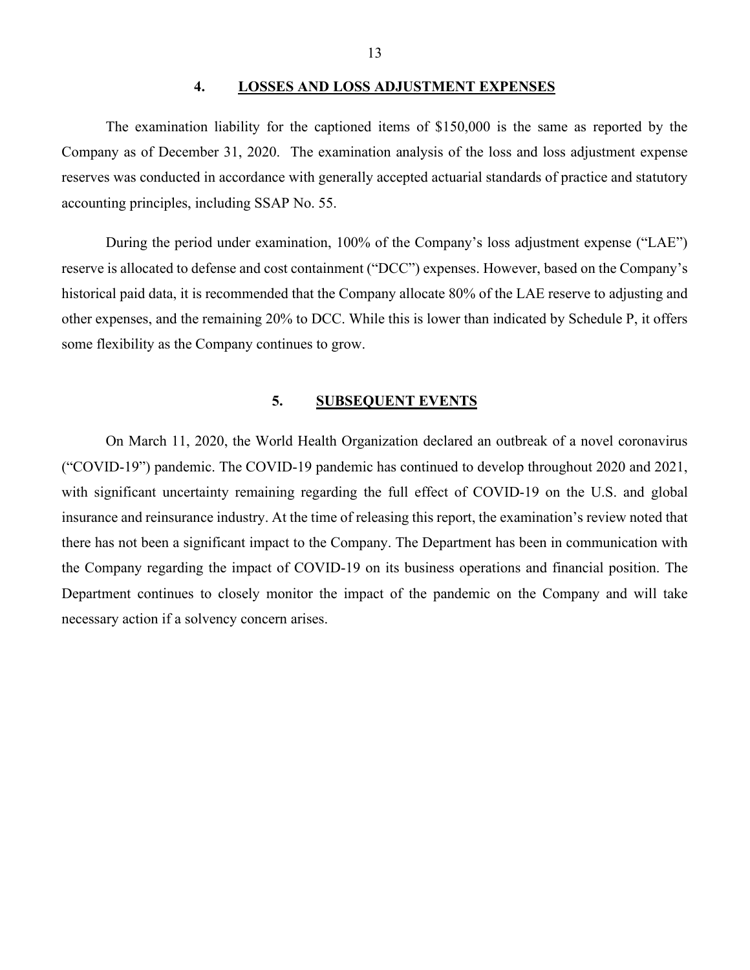#### **4. LOSSES AND LOSS ADJUSTMENT EXPENSES**

<span id="page-14-0"></span> Company as of December 31, 2020. The examination analysis of the loss and loss adjustment expense accounting principles, including SSAP No. 55. The examination liability for the captioned items of \$150,000 is the same as reported by the reserves was conducted in accordance with generally accepted actuarial standards of practice and statutory

<span id="page-14-2"></span> reserve is allocated to defense and cost containment ("DCC") expenses. However, based on the Company's During the period under examination, 100% of the Company's loss adjustment expense ("LAE") historical paid data, it is recommended that the Company allocate 80% of the LAE reserve to adjusting and other expenses, and the remaining 20% to DCC. While this is lower than indicated by Schedule P, it offers some flexibility as the Company continues to grow.

#### **5. SUBSEQUENT EVENTS**

<span id="page-14-1"></span> with significant uncertainty remaining regarding the full effect of COVID-19 on the U.S. and global necessary action if a solvency concern arises. On March 11, 2020, the World Health Organization declared an outbreak of a novel coronavirus ("COVID-19") pandemic. The COVID-19 pandemic has continued to develop throughout 2020 and 2021, insurance and reinsurance industry. At the time of releasing this report, the examination's review noted that there has not been a significant impact to the Company. The Department has been in communication with the Company regarding the impact of COVID-19 on its business operations and financial position. The Department continues to closely monitor the impact of the pandemic on the Company and will take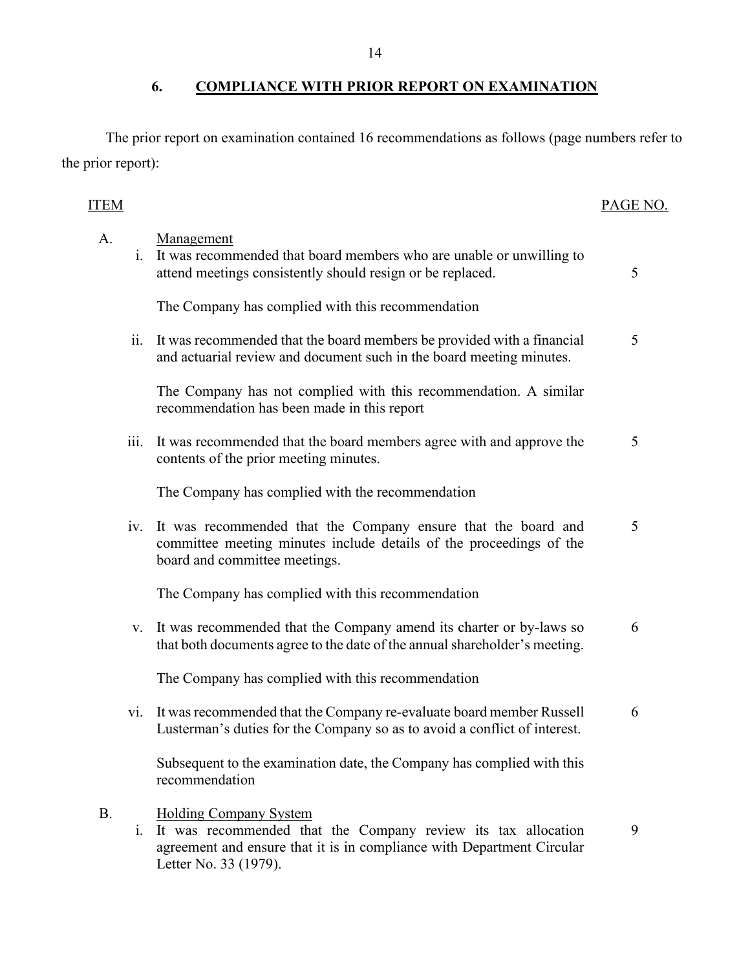## <span id="page-15-0"></span>**6. COMPLIANCE WITH PRIOR REPORT ON EXAMINATION**

The prior report on examination contained 16 recommendations as follows (page numbers refer to the prior report):

## ITEM PAGE NO.

## A. i. It was recommended that board members who are unable or unwilling to Management attend meetings consistently should resign or be replaced. 5 The Company has complied with this recommendation ii. It was recommended that the board members be provided with a financial and actuarial review and document such in the board meeting minutes. 5 The Company has not complied with this recommendation. A similar recommendation has been made in this report iii. It was recommended that the board members agree with and approve the contents of the prior meeting minutes. 5 The Company has complied with the recommendation iv. It was recommended that the Company ensure that the board and committee meeting minutes include details of the proceedings of the board and committee meetings. 5 The Company has complied with this recommendation v. It was recommended that the Company amend its charter or by-laws so that both documents agree to the date of the annual shareholder's meeting. 6 The Company has complied with this recommendation vi. It was recommended that the Company re-evaluate board member Russell Lusterman's duties for the Company so as to avoid a conflict of interest. 6 Subsequent to the examination date, the Company has complied with this recommendation B. i. It was recommended that the Company review its tax allocation Holding Company System 9

agreement and ensure that it is in compliance with Department Circular Letter No. 33 (1979).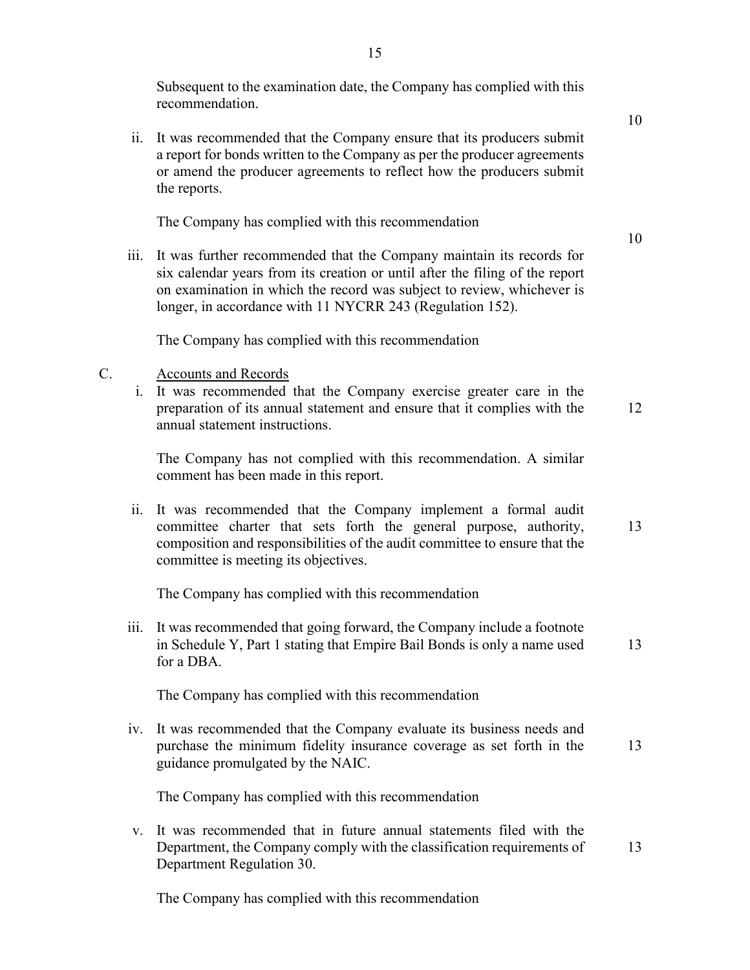Subsequent to the examination date, the Company has complied with this recommendation.

 a report for bonds written to the Company as per the producer agreements ii. It was recommended that the Company ensure that its producers submit or amend the producer agreements to reflect how the producers submit the reports.

The Company has complied with this recommendation

iii. It was further recommended that the Company maintain its records for six calendar years from its creation or until after the filing of the report on examination in which the record was subject to review, whichever is longer, in accordance with 11 NYCRR 243 (Regulation 152).

The Company has complied with this recommendation

#### C. Accounts and Records

i. It was recommended that the Company exercise greater care in the preparation of its annual statement and ensure that it complies with the annual statement instructions.

12

- The Company has not complied with this recommendation. A similar comment has been made in this report.
- ii. It was recommended that the Company implement a formal audit committee charter that sets forth the general purpose, authority, composition and responsibilities of the audit committee to ensure that the committee is meeting its objectives. 13

The Company has complied with this recommendation

iii. It was recommended that going forward, the Company include a footnote in Schedule Y, Part 1 stating that Empire Bail Bonds is only a name used for a DBA. 13

The Company has complied with this recommendation

 purchase the minimum fidelity insurance coverage as set forth in the iv. It was recommended that the Company evaluate its business needs and guidance promulgated by the NAIC. 13

The Company has complied with this recommendation

v. It was recommended that in future annual statements filed with the Department, the Company comply with the classification requirements of Department Regulation 30. 13

The Company has complied with this recommendation

10

10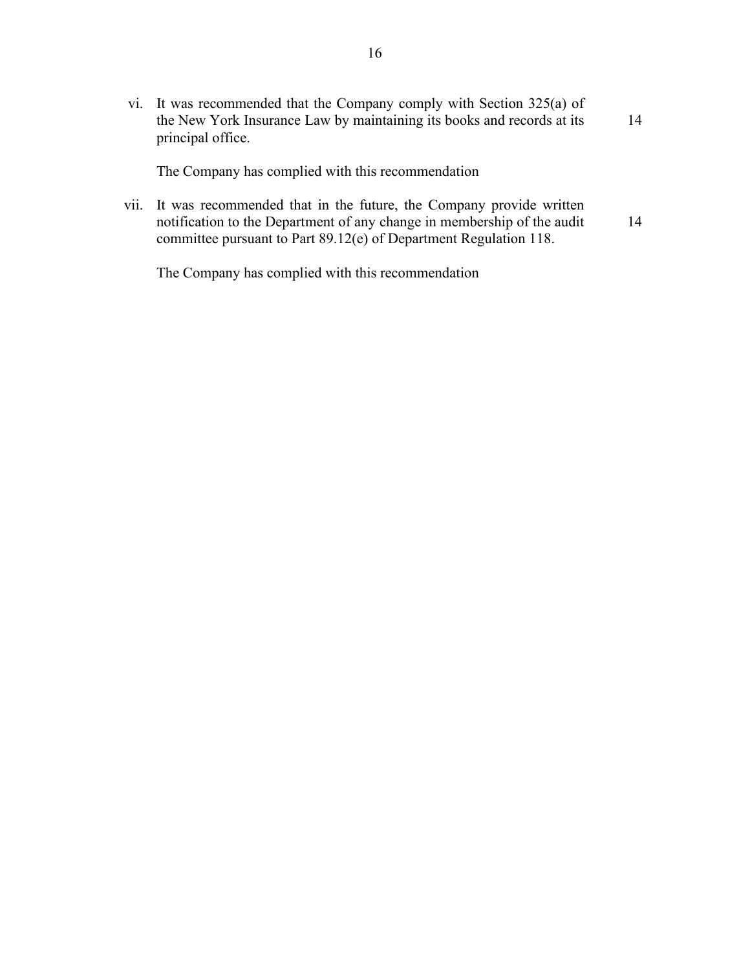vi. It was recommended that the Company comply with Section 325(a) of the New York Insurance Law by maintaining its books and records at its principal office. 14

The Company has complied with this recommendation

vii. It was recommended that in the future, the Company provide written notification to the Department of any change in membership of the audit committee pursuant to Part 89.12(e) of Department Regulation 118. 14

The Company has complied with this recommendation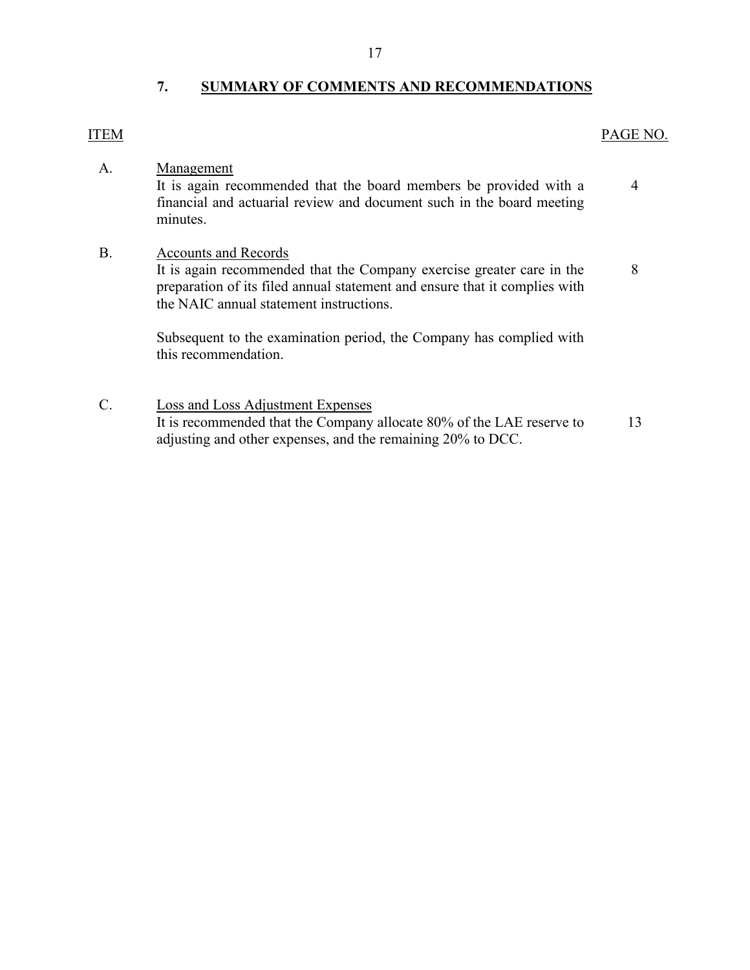## **7. SUMMARY OF COMMENTS AND RECOMMENDATIONS**

#### <span id="page-18-0"></span>ITEM PAGE NO.

[4](#page-5-1) 

A. Management

It is again recommended that the board members be provided with a financial and actuarial review and document such in the board meeting minutes.

#### B. Accounts and Records

 It is again recommended that the Company exercise greater care in the preparation of its filed annual statement and ensure that it complies with the NAIC annual statement instructions. [8](#page-9-0) 

Subsequent to the examination period, the Company has complied with this recommendation.

C. Loss and Loss Adjustment Expenses It is recommended that the Company allocate 80% of the LAE reserve to adjusting and other expenses, and the remaining 20% to DCC. [13](#page-14-2)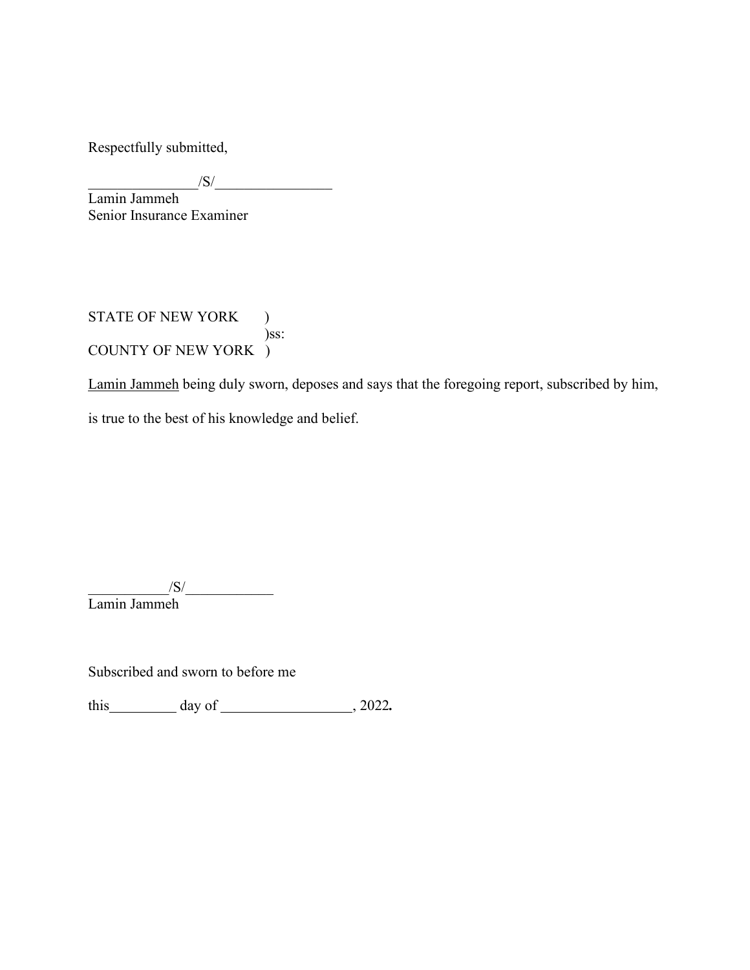Respectfully submitted,

 $\frac{|S|}{|S|}$ 

 Senior Insurance Examiner Lamin Jammeh

STATE OF NEW YORK ) )ss: COUNTY OF NEW YORK )

Lamin Jammeh being duly sworn, deposes and says that the foregoing report, subscribed by him, is true to the best of his knowledge and belief.

 $\frac{1}{\sqrt{S}}$ Lamin Jammeh

Subscribed and sworn to before me

this day of 3022.